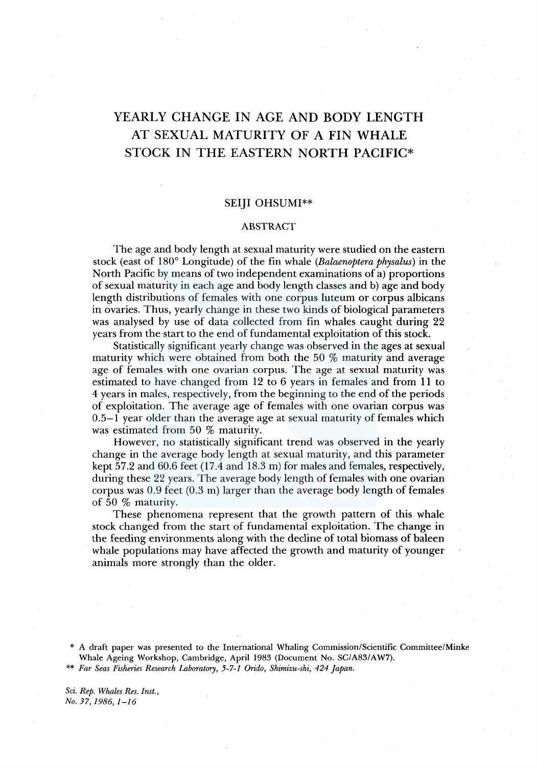# YEARLY CHANGE IN AGE AND BODY LENGTH AT SEXUAL MATURITY OF A FIN WHALE STOCK IN THE EASTERN NORTH PACIFIC\*

## SEIJI OHSUMI\*\*

#### ABSTRACT

The age and body length at sexual maturity were studied on the eastern stock (east of 180° Longitude) of the fin whale *(Balaenoptera physalus)* in the North Pacific by means of two independent examinations of a) proportions of sexual maturity in each age and body length classes and b) age and body length distributions of females with one corpus luteum or corpus albicans in ovaries. Thus, yearly change in these two kinds of biological parameters was analysed by use of data collected from fin whales caught during 22 years from the start to the end of fundamental exploitation of this stock.

Statistically significant yearly change was observed in the ages at sexual maturity which were obtained from both the 50 % maturity and average age of females with one ovarian corpus. The age at sexual maturity was estimated to have changed from 12 to 6 years in females and from 11 to 4 years in males, respectively, from the beginning to the end of the periods of exploitation. The average age of females with one ovarian corpus was 0.5-1 year older than the average age at sexual maturity of females which was estimated from 50 % maturity.

However, no statistically significant trend was observed in the yearly change in the average body length at sexual maturity, and this parameter kept 57.2 and 60.6 feet (17.4 and 18.3 m) for males and females, respectively, during these 22 years. The average body length of females with one ovarian corpus was 0.9 feet (0.3 m) larger than the average body length of females of 50 % maturity.

These phenomena represent that the growth pattern of this whale stock changed from the start of fundamental exploitation. The change in the feeding environments along with the decline of total biomass of baleen whale populations may have affected the growth and maturity of younger animals more strongly than the older.

*Sci. Rep. Whales Res. Inst., No. 37, 1986, 1-16* 

A draft paper was presented to the International Whaling Commission/Scientific Committee/Minke Whale Ageing Workshop, Cambridge, April 1983 (Document No. SC/A83/AW7).

<sup>\*\*</sup> *Far Seas Fisheries Research Laboratory, 5-7-1 Orido, Shimizu-ski, 424 Japan.*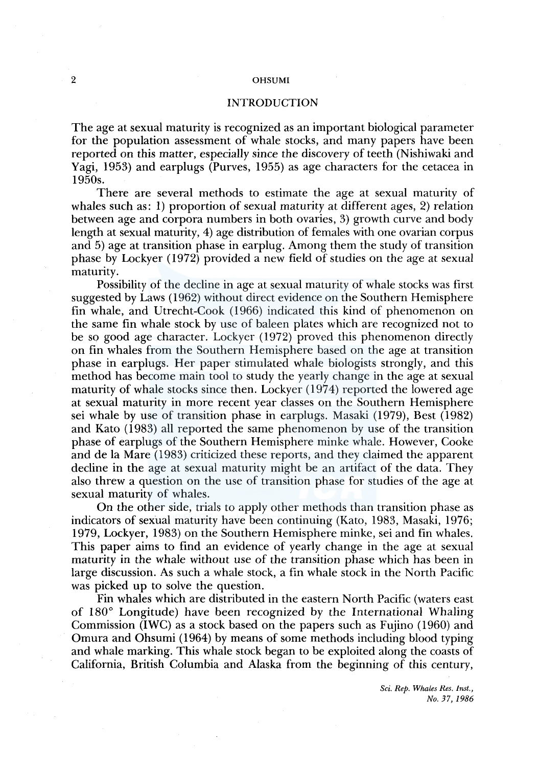## INTRODUCTION

The age at sexual maturity is recognized as an important biological parameter for the population assessment of whale stocks, and many papers have been reported on this matter, especially since the discovery of teeth (Nishiwaki and Yagi, 1953) and earplugs (Purves, 1955) as age characters for the cetacea in 1950s.

There are several methods to estimate the age at sexual maturity of whales such as: 1) proportion of sexual maturity at different ages, 2) relation between age and corpora numbers in both ovaries, 3) growth curve and body length at sexual maturity, 4) age distribution of females with one ovarian corpus and 5) age at transition phase in earplug. Among them the study of transition phase by Lockyer ( 1972) provided a new field of studies on the age at sexual maturity.

Possibility of the decline in age at sexual maturity of whale stocks was first suggested by Laws (1962) without direct evidence on the Southern Hemisphere fin whale, and Utrecht-Cook (1966) indicated this kind of phenomenon on the same fin whale stock by use of baleen plates which are recognized not to be so good age character. Lockyer (1972) proved this phenomenon directly on fin whales from the Southern Hemisphere based on the age at transition phase in earplugs. Her paper stimulated whale biologists strongly, and this method has become main tool to study the yearly change in the age at sexual maturity of whale stocks since then. Lockyer (1974) reported the lowered age at sexual maturity in more recent year classes on the Southern Hemisphere sei whale by use of transition phase in earplugs. Masaki ( 1979), Best ( 1982) and Kato (1983) all reported the same phenomenon by use of the transition phase of earplugs of the Southern Hemisphere minke whale. However, Cooke and de la Mare (1983) criticized these reports, and they claimed the apparent decline in the age at sexual maturity might be an artifact of the data. They also threw a question on the use of transition phase for studies of the age at sexual maturity of whales.

On the other side, trials to apply other methods than transition phase as indicators of sexual maturity have been continuing (Kato, 1983, Masaki, 1976; 1979, Lockyer, 1983) on the Southern Hemisphere minke, sei and fin whales. This paper aims to find an evidence of yearly change in the age at sexual maturity in the whale without use of the transition phase which has been in large discussion. As such a whale stock, a fin whale stock in the North Pacific was picked up to solve the question.

Fin whales which are distributed in the eastern North Pacific (waters east of 180° Longitude) have been recognized by the International Whaling Commission (IWC) as a stock based on the papers such as Fujino (1960) and Omura and Ohsumi (1964) by means of some methods including blood typing and whale marking. This whale stock began to be exploited along the coasts of California, British Columbia and Alaska from the beginning of this century,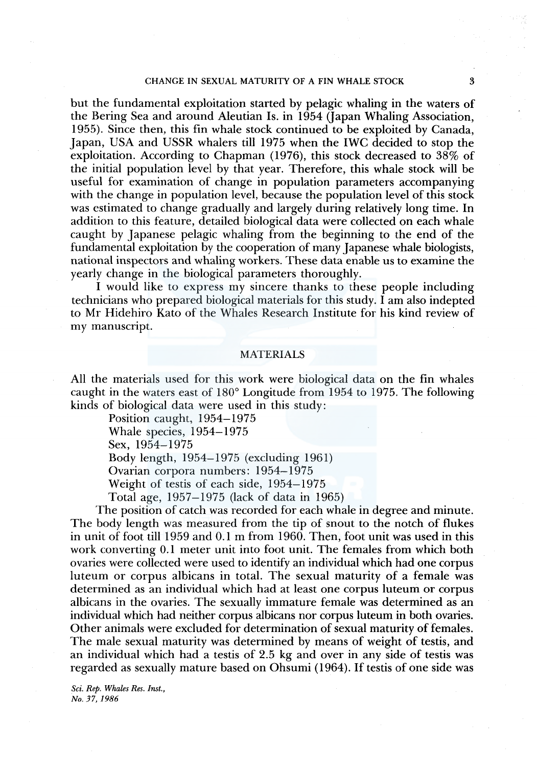#### CHANGE IN SEXUAL MATURITY OF A FIN WHALE STOCK 3

but the fundamental exploitation started by pelagic whaling in the waters of the Bering Sea and around Aleutian Is. in 1954 (Japan Whaling Association, 1955). Since then, this fin whale stock continued to be exploited by Canada, Japan, USA and USSR whalers till 1975 when the IWC decided to stop the exploitation. According to Chapman (1976), this stock decreased to 38% of the initial population level by that year. Therefore, this whale stock will be useful for examination of change in population parameters accompanying with the change in population level, because the population level of this stock was estimated to change gradually and largely during relatively long time. In addition to this feature, detailed biological data were collected on each whale caught by Japanese pelagic whaling from the beginning to the end of the fundamental exploitation by the cooperation of many Japanese whale biologists, national inspectors and whaling workers. These data enable us to examine the yearly change in the biological parameters thoroughly.

I would like to express my sincere thanks to these people including technicians who prepared biological materials for this study. I am also indepted to Mr Hidehiro Kato of the Whales Research Institute for his kind review of my manuscript.

#### MATERIALS

All the materials used for this work were biological data on the fin whales caught in the waters east of 180° Longitude from 1954 to 1975. The following kinds of biological data were used in this study:

Position caught, 1954-1975

Whale species, 1954-1975

Sex, 1954-1975

Body length, 1954-1975 (excluding 1961)

Ovarian corpora numbers: 1954–1975

Weight of testis of each side, 1954-1975

Total age, 1957-1975 (lack of data in 1965)

The position of catch was recorded for each whale in degree and minute. The body length was measured from the tip of snout to the notch of flukes in unit of foot till 1959 and 0.1 m from 1960. Then, foot unit was used in this work converting 0.1 meter unit into foot unit. The females from which both ovaries were collected were used to identify an individual which had one corpus luteum or corpus albicans in total. The sexual maturity of a female was determined as an individual which had at least one corpus luteum or corpus albicans in the ovaries. The sexually immature female was determined as an individual which had neither corpus albicans nor corpus luteum in both ovaries. Other animals were excluded for determination of sexual maturity of females. The male sexual maturity was determined by means of weight of testis, and an individual which had a testis of 2.5 kg and over in any side of testis was regarded as sexually mature based on Ohsumi (1964). If testis of one side was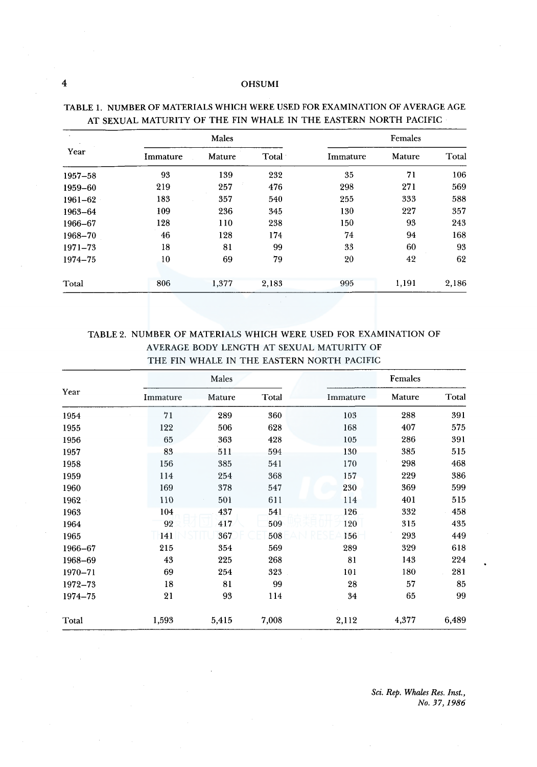## 4 OHS UM I

| Year    | Males    |        |       | Females  |        |       |
|---------|----------|--------|-------|----------|--------|-------|
|         | Immature | Mature | Total | Immature | Mature | Total |
| 1957-58 | 93       | 139    | 232   | 35       | 71     | 106   |
| 1959-60 | 219      | 257    | 476   | 298      | 271    | 569   |
| 1961-62 | 183      | 357    | 540   | 255      | 333    | 588   |
| 1963-64 | 109      | 236    | 345   | 130      | 227    | 357   |
| 1966-67 | 128      | 110    | 238   | 150      | 93     | 243   |
| 1968-70 | 46       | 128    | 174   | 74       | 94     | 168   |
| 1971-73 | 18       | 81     | 99    | 33       | 60     | 93    |
| 1974-75 | 10       | 69     | 79    | 20       | 42     | 62    |
| Total   | 806      | 1,377  | 2,183 | 995      | 1,191  | 2,186 |

# TABLE 1. NUMBER OF MATERIALS WHICH WERE USED FOR EXAMINATION OF AVERAGE AGE AT SEXUAL MATURITY OF THE FIN WHALE IN THE EASTERN NORTH PACIFIC

# TABLE 2. NUMBER OF MATERIALS WHICH WERE USED FOR EXAMINATION OF AVERAGE BODY LENGTH AT SEXUAL MATURITY OF THE FIN WHALE IN THE EASTERN NORTH PACIFIC

| Year    | Males    |        |       | Females  |        |       |
|---------|----------|--------|-------|----------|--------|-------|
|         | Immature | Mature | Total | Immature | Mature | Total |
| 1954    | 71       | 289    | 360   | 103      | 288    | 391   |
| 1955    | 122      | 506    | 628   | 168      | 407    | 575   |
| 1956    | 65       | 363    | 428   | 105      | 286    | 391   |
| 1957    | 83       | 511    | 594   | 130      | 385    | 515   |
| 1958    | 156      | 385    | 541   | 170      | 298    | 468   |
| 1959    | 114      | 254    | 368   | 157      | 229    | 386   |
| 1960    | 169      | 378    | 547   | 230      | 369    | 599   |
| 1962    | 110      | 501    | 611   | 114      | 401    | 515   |
| 1963    | 104      | 437    | 541   | 126      | 332    | 458   |
| 1964    | 92       | 417    | 509   | 120      | 315    | 435   |
| 1965    | 141      | 367    | 508   | 156      | 293    | 449   |
| 1966-67 | 215      | 354    | 569   | 289      | 329    | 618   |
| 1968-69 | 43       | 225    | 268   | 81       | 143    | 224   |
| 1970-71 | 69       | 254    | 323   | 101      | 180    | 281   |
| 1972-73 | 18       | 81     | 99    | 28       | 57     | 85    |
| 1974-75 | 21       | 93     | 114   | 34       | 65     | 99    |
| Total   | 1,593    | 5,415  | 7,008 | 2,112    | 4,377  | 6,489 |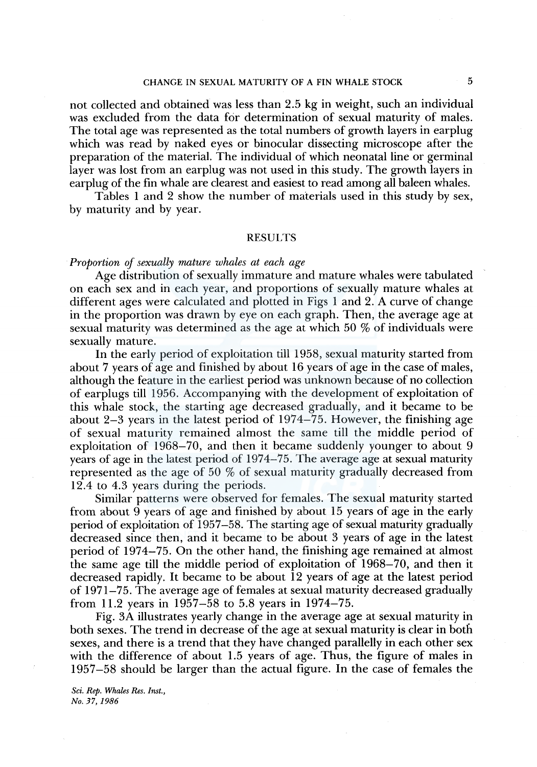## CHANGE IN SEXUAL MATURITY OF A FIN WHALE STOCK 5

not collected and obtained was less than 2.5 kg in weight, such an individual was excluded from the data for determination of sexual maturity of males. The total age was represented as the total numbers of growth layers in earplug which was read by naked eyes or binocular dissecting microscope after the preparation of the material. The individual of which neonatal line or germinal layer was lost from an earplug was not used in this study. The growth layers in earplug of the fin whale are clearest and easiest to read among all baleen whales.

Tables 1 and 2 show the number of materials used in this study by sex, by maturity and by year.

#### RESULTS

#### *Proportion of sexually mature whales at each age*

Age distribution of sexually immature and mature whales were tabulated on each sex and in each year, and proportions of sexually mature whales at different ages were calculated and plotted in Figs 1 and 2. A curve of change in the proportion was drawn by eye on each graph. Then, the average age at sexual maturity was determined as the age at which 50 % of individuals were sexually mature.

In the early period of exploitation till 1958, sexual maturity started from about 7 years of age and finished by about 16 years of age in the case of males, although the feature in the earliest period was unknown because of no collection of earplugs till 1956. Accompanying with the development of exploitation of this whale stock, the starting age decreased gradually, and it became to be about 2-3 years in the latest period of 1974-75. However, the finishing age of sexual maturity remained almost the same till the middle period of exploitation of 1968-70, and then it became suddenly younger to about 9 years of age in the latest period of 1974-75. The average age at sexual maturity represented as the age of 50 % of sexual maturity gradually decreased from 12.4 to 4.3 years during the periods.

Similar patterns were observed for females. The sexual maturity started from about 9 years of age and finished by about 15 years of age in the early period of exploitation of 1957-58. The starting age of sexual maturity gradually decreased since then, and it became to be about 3 years of age in the latest period of 1974-75. On the other hand, the finishing age remained at almost the same age till the middle period of exploitation of 1968-70, and then it decreased rapidly. It became to be about 12 years of age at the latest period of 1971–75. The average age of females at sexual maturity decreased gradually from 11.2 years in 1957-58 to 5.8 years in 1974-75.

Fig. 3A illustrates yearly change in the average age at sexual maturity in both sexes. The trend in decrease of the age at sexual maturity is clear in both sexes, and there is a trend that they have changed parallelly in each other sex with the difference of about 1.5 years of age. Thus, the figure of males in 1957-58 should be larger than the actual figure. In the case of females the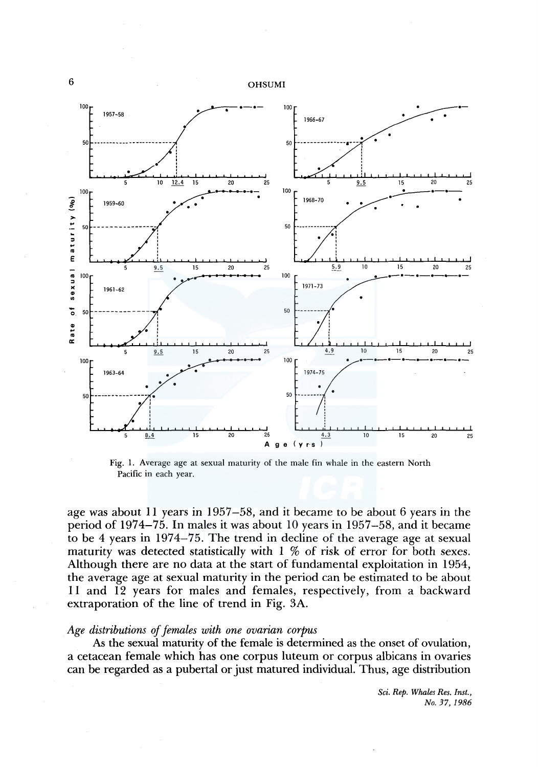

Fig. l. Average age at sexual maturity of the male fin whale in the eastern North Pacific in each year.

age was about 11 years in 1957-58, and it became to be about 6 years in the period of 1974-75. In males it was about 10 years in 1957-58, and it became to be 4 years in 1974-75. The trend in decline of the average age at sexual maturity was detected statistically with 1 % of risk of error for both sexes. Although there are no data at the start of fundamental exploitation in 1954, the average age at sexual maturity in the period can be estimated to be about 11 and 12 years for males and females, respectively, from a backward extraporation of the line of trend in Fig. 3A.

## *Age distributions of females with one ovarian corpus*

As the sexual maturity of the female is determined as the onset of ovulation, a cetacean female which has one corpus luteum or corpus albicans in ovaries can be regarded as a pubertal or just matured individual. Thus, age distribution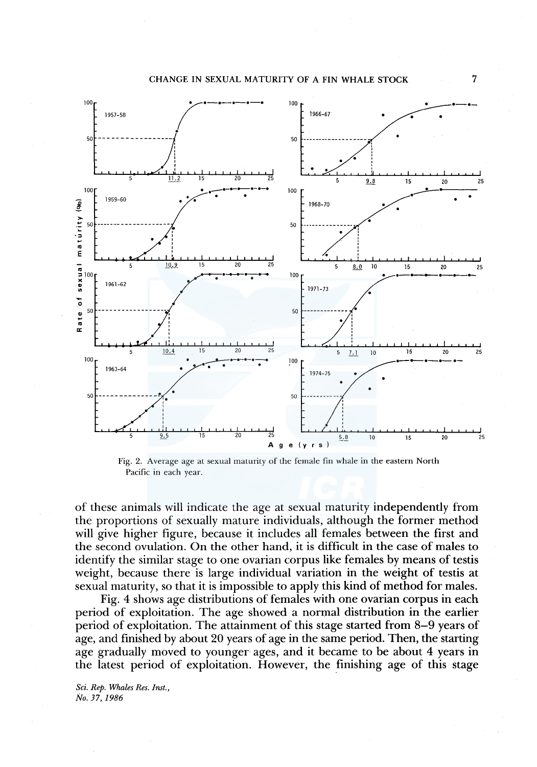

Fig. 2. Average age at sexual maturity of the female fin whale in the eastern North Pacific in each year.

of these animals will indicate the age at sexual maturity independently from the proportions of sexually mature individuals, although the former method will give higher figure, because it includes all females between the first and the second ovulation. On the other hand, it is difficult in the case of males to identify the similar stage to one ovarian corpus like females by means of testis weight, because there is large individual variation in the weight of testis at sexual maturity, so that it is impossible to apply this kind of method for males.

Fig. 4 shows age distributions of females with one ovarian corpus in each period of exploitation. The age showed a normal distribution in the earlier period of exploitation. The attainment of this stage started from 8-9 years of age, and finished by about 20 years of age in the same period. Then, the starting age gradually moved to younger ages, and it became to be about 4 years in the latest period of exploitation. However, the finishing age of this stage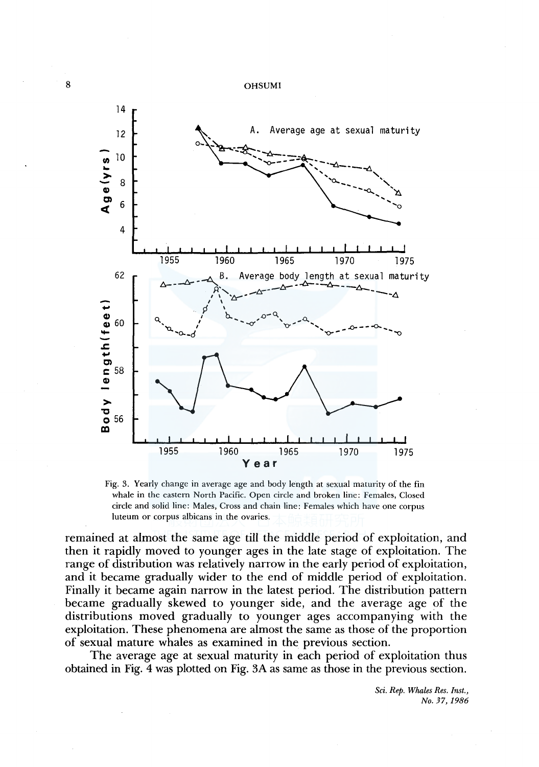

Fig. 3. Yearly change in average age and body length at sexual maturity of the fin whale in the eastern North Pacific. Open circle and broken line: Females, Closed circle and solid line: Males, Cross and chain line: Females which have one corpus luteum or corpus albicans in the ovaries.

remained at almost the same age till the middle period of exploitation, and then it rapidly moved to younger ages in the late stage of exploitation. The range of distribution was relatively narrow in the early period of exploitation, and it became gradually wider to the end of middle period of exploitation. Finally it became again narrow in the latest period. The distribution pattern became gradually skewed to younger side, and the average age of the distributions moved gradually to younger ages accompanying with the exploitation. These phenomena are almost the same as those of the proportion of sexual mature whales as examined in the previous section.

The average age at sexual maturity in each period of exploitation thus obtained in Fig. 4 was plotted on Fig. 3A as same as those in the previous section.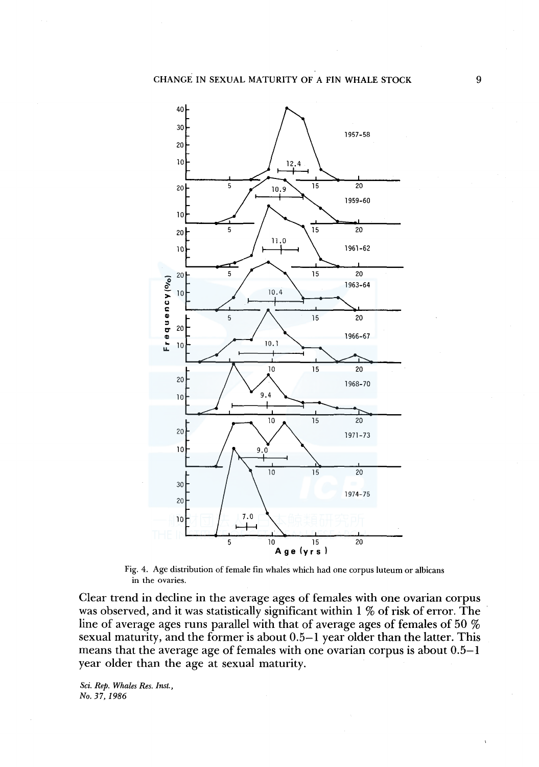

Fig. 4. Age distribution of female fin whales which had one corpus luteum or albicans in the ovaries.

Clear trend in decline in the average ages of females with one ovarian corpus was observed, and it was statistically significant within 1 % of risk of error. The line of average ages runs parallel with that of average ages of females of 50 % sexual maturity, and the former is about 0.5-1 year older than the latter. This means that the average age of females with one ovarian corpus is about 0.5-1 year older than the age at sexual maturity.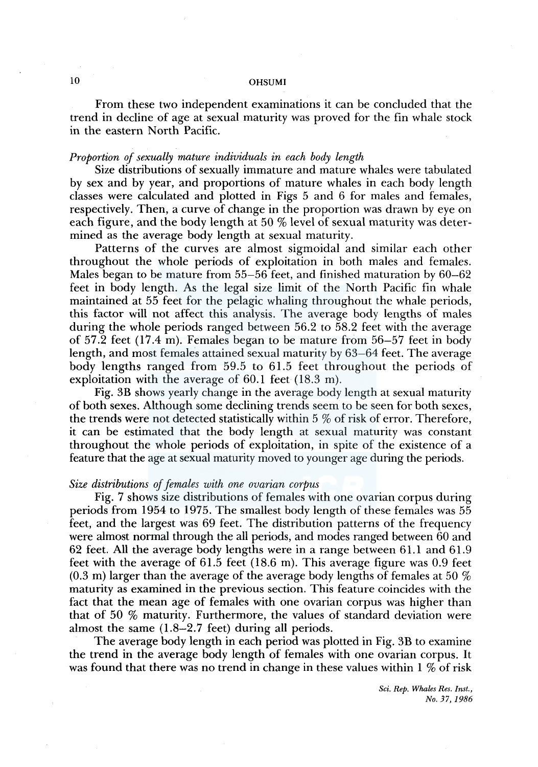From these two independent examinations it can be concluded that the trend in decline of age at sexual maturity was proved for the fin whale stock in the eastern North Pacific.

#### *Proportion of sexually mature individuals in each body length*

Size distributions of sexually immature and mature whales were tabulated by sex and by year, and proportions of mature whales in each body length classes were calculated and plotted in Figs 5 and 6 for males and females, respectively. Then, a curve of change in the proportion was drawn by eye on each figure, and the body length at 50 % level of sexual maturity was determined as the average body length at sexual maturity.

Patterns of the curves are almost sigmoidal and similar each other throughout the whole periods of exploitation in both males and females. Males began to be mature from 55-56 feet, and finished maturation by 60-62 feet in body length. As the legal size limit of the North Pacific fin whale maintained at 55 feet for the pelagic whaling throughout the whale periods, this factor will not affect this analysis. The average body lengths of males during the whole periods ranged between 56.2 to 58.2 feet with the average of 57 .2 feet (17.4 m). Females began to be mature from 56-57 feet in body length, and most females attained sexual maturity by 63-64 feet. The average body lengths ranged from 59.5 to 61.5 feet throughout the periods of exploitation with the average of 60.1 feet (18.3 m).

Fig. 3B shows yearly change in the average body length at sexual maturity of both sexes. Although some declining trends seem to be seen for both sexes, the trends were not detected statistically within 5 % of risk of error. Therefore, it can be estimated that the body length at sexual maturity was constant throughout the whole periods of exploitation, in spite of the existence of a feature that the age at sexual maturity moved to younger age during the periods.

#### *Size distributions of females with one ovarian corpus*

Fig. 7 shows size distributions of females with one ovarian corpus during periods from 1954 to 1975. The smallest body length of these females was 55 feet, and the largest was 69 feet. The distribution patterns of the frequency were almost normal through the all periods, and modes ranged between 60 and 62 feet. All the average body lengths were in a range between 61. l and 61. 9 feet with the average of 61.5 feet (18.6 m). This average figure was 0.9 feet (0.3 m) larger than the average of the average body lengths of females at 50  $\%$ maturity as examined in the previous section. This feature coincides with the fact that the mean age of females with one ovarian corpus was higher than that of 50 % maturity. Furthermore, the values of standard deviation were almost the same (1.8-2.7 feet) during all periods.

The average body length in each period was plotted in Fig. 3B to examine the trend in the average body length of females with one ovarian corpus. It was found that there was no trend in change in these values within  $1\ \%$  of risk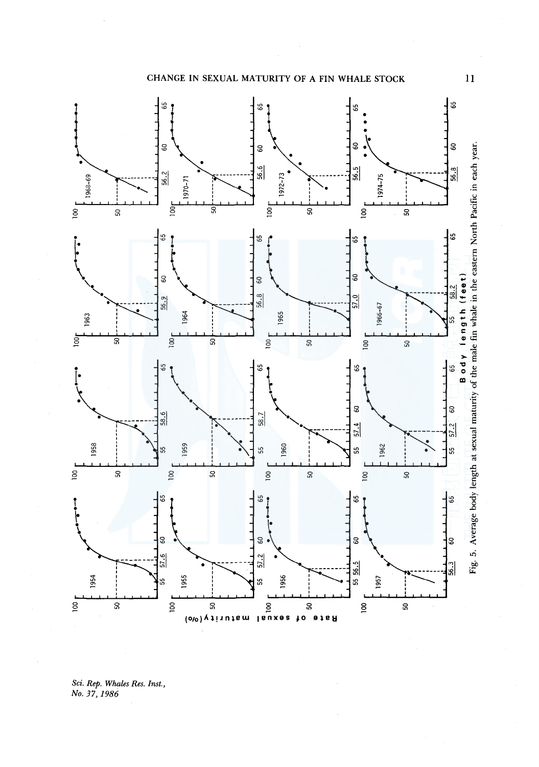CHANGE IN SEXUAL MATURITY OF A FIN WHALE STOCK



Sci. Rep. Whales Res. Inst.,<br>No. 37, 1986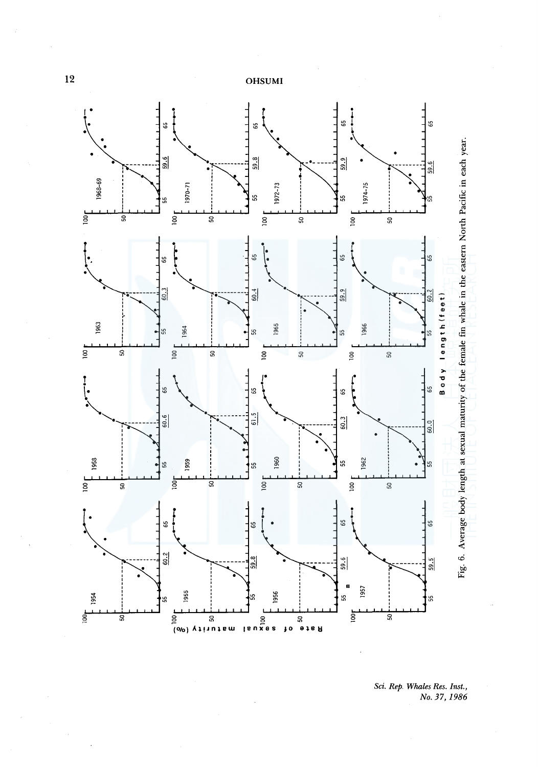

Sci. Rep. Whales Res. Inst.,<br>No. 37, 1986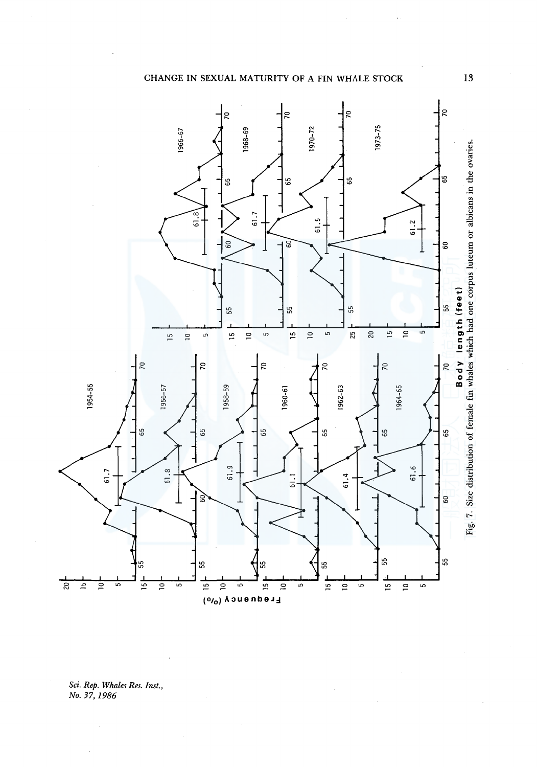



Sci. Rep. Whales Res. Inst.,<br>No. 37, 1986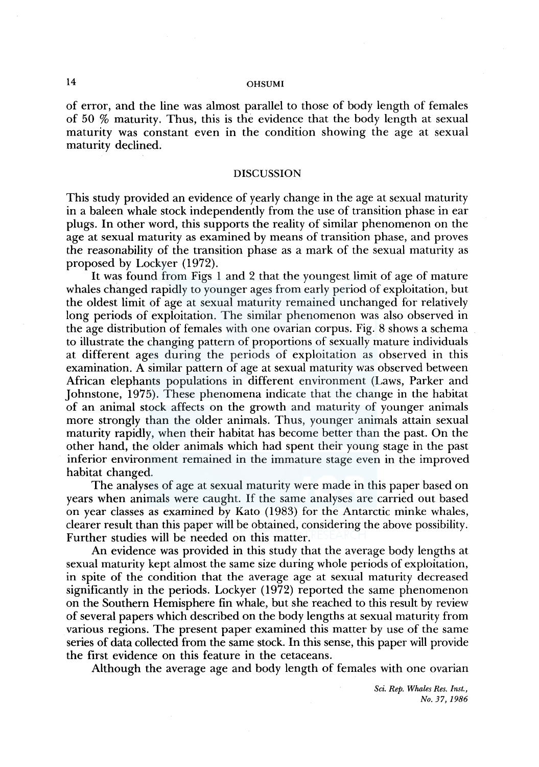of error, and the line was almost parallel to those of body length of females of 50 % maturity. Thus, this is the evidence that the body length at sexual maturity was constant even in the condition showing the age at sexual maturity declined.

#### DISCUSSION

This study provided an evidence of yearly change in the age at sexual maturity in a baleen whale stock independently from the use of transition phase in ear plugs. In other word, this supports the reality of similar phenomenon on the age at sexual maturity as examined by means of transition phase, and proves the reasonability of the transition phase as a mark of the sexual maturity as proposed by Lockyer (1972).

It was found from Figs 1 and 2 that the youngest limit of age of mature whales changed rapidly to younger ages from early period of exploitation, but the oldest limit of age at sexual maturity remained unchanged for relatively long periods of exploitation. The similar phenomenon was also observed in the age distribution of females with one ovarian corpus. Fig. 8 shows a schema to illustrate the changing pattern of proportions of sexually mature individuals at different ages during the periods of exploitation as observed in this examination. A similar pattern of age at sexual maturity was observed between African elephants populations in different environment (Laws, Parker and Johnstone, 1975). These phenomena indicate that the change in the habitat of an animal stock affects on the growth and maturity of younger animals more strongly than the older animals. Thus, younger animals attain sexual maturity rapidly, when their habitat has become better than the past. On the other hand, the older animals which had spent their young stage in the past inferior environment remained in the immature stage even in the improved habitat changed.

The analyses of age at sexual maturity were made in this paper based on years when animals were caught. If the same analyses are carried out based on year classes as examined by Kato (1983) for the Antarctic minke whales, clearer result than this paper will be obtained, considering the above possibility. Further studies will be needed on this matter.

An evidence was provided in this study that the average body lengths at sexual maturity kept almost the same size during whole periods of exploitation, in spite of the condition that the average age at sexual maturity decreased significantly in the periods. Lockyer ( 1972) reported the same phenomenon on the Southern Hemisphere fin whale, but she reached to this result by review of several papers which described on the body lengths at sexual maturity from various regions. The present paper examined this matter by use of the same series of data collected from the same stock. In this sense, this paper will provide the first evidence on this feature in the cetaceans.

Although the average age and body length of females with one ovarian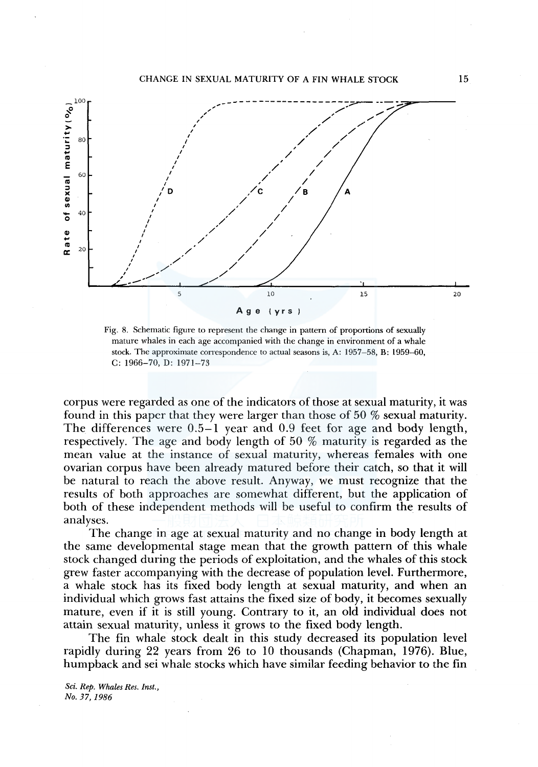

Fig. 8. Schematic figure to represent the change in pattern of proportions of sexually mature whales in each age accompanied with the change in environment of a whale stock. The approximate correspondence to actual seasons is, A: 1957-58, B: 1959-60, C: 1966-70, D: 1971-73

corpus were regarded as one of the indicators of those at sexual maturity, it was found in this paper that they were larger than those of 50 % sexual maturity. The differences were 0.5-1 year and 0.9 feet for age and body length, respectively. The age and body length of 50 % maturity is regarded as the mean value at the instance of sexual maturity, whereas females with one ovarian corpus have been already matured before their catch, so that it will be natural to reach the above result. Anyway, we must recognize that the results of both approaches are somewhat different, but the application of both of these independent methods will be useful to confirm the results of analyses.

The change in age at sexual maturity and no change in body length at the same developmental stage mean that the growth pattern of this whale stock changed during the periods of exploitation, and the whales of this stock grew faster accompanying with the decrease of population level. Furthermore, a whale stock has its fixed body length at sexual maturity, and when an individual which grows fast attains the fixed size of body, it becomes sexually mature, even if it is still young. Contrary to it, an old individual does not attain sexual maturity, unless it grows to the fixed body length.

The fin whale stock dealt in this study decreased its population level rapidly during 22 years from 26 to 10 thousands (Chapman, 1976). Blue, humpback and sei whale stocks which have similar feeding behavior to the fin